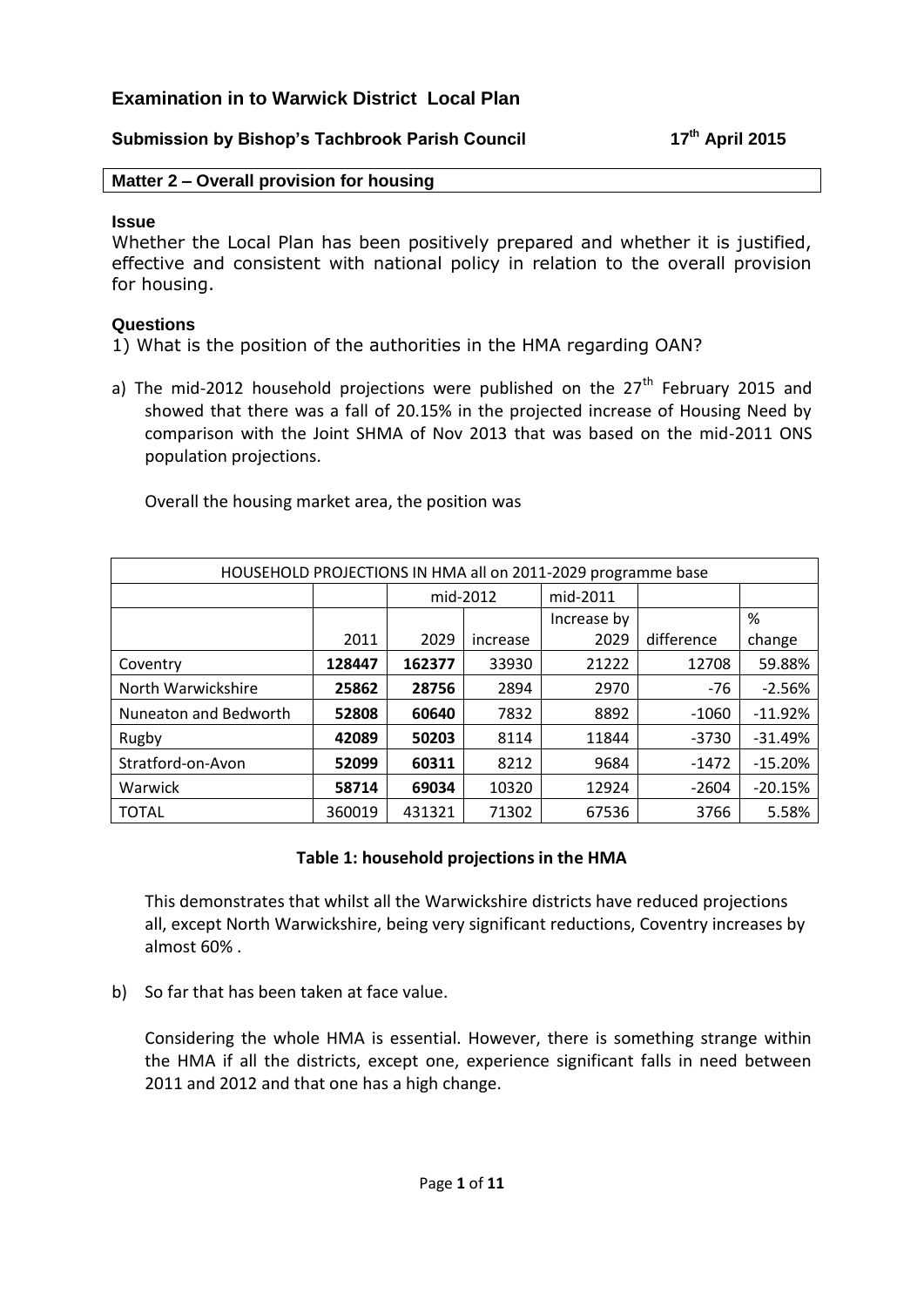# **Examination in to Warwick District Local Plan**

### **Submission by Bishop's Tachbrook Parish Council 17th April 2015**

#### **Matter 2 – Overall provision for housing**

#### **Issue**

Whether the Local Plan has been positively prepared and whether it is justified, effective and consistent with national policy in relation to the overall provision for housing.

### **Questions**

- 1) What is the position of the authorities in the HMA regarding OAN?
- a) The mid-2012 household projections were published on the  $27<sup>th</sup>$  February 2015 and showed that there was a fall of 20.15% in the projected increase of Housing Need by comparison with the Joint SHMA of Nov 2013 that was based on the mid-2011 ONS population projections.

| HOUSEHOLD PROJECTIONS IN HMA all on 2011-2029 programme base |        |          |          |             |            |           |  |  |
|--------------------------------------------------------------|--------|----------|----------|-------------|------------|-----------|--|--|
|                                                              |        | mid-2012 |          | mid-2011    |            |           |  |  |
|                                                              |        |          |          | Increase by |            | %         |  |  |
|                                                              | 2011   | 2029     | increase | 2029        | difference | change    |  |  |
| Coventry                                                     | 128447 | 162377   | 33930    | 21222       | 12708      | 59.88%    |  |  |
| North Warwickshire                                           | 25862  | 28756    | 2894     | 2970        | -76        | $-2.56%$  |  |  |
| Nuneaton and Bedworth                                        | 52808  | 60640    | 7832     | 8892        | $-1060$    | $-11.92%$ |  |  |
| Rugby                                                        | 42089  | 50203    | 8114     | 11844       | $-3730$    | $-31.49%$ |  |  |
| Stratford-on-Avon                                            | 52099  | 60311    | 8212     | 9684        | $-1472$    | $-15.20%$ |  |  |
| Warwick                                                      | 58714  | 69034    | 10320    | 12924       | $-2604$    | $-20.15%$ |  |  |
| <b>TOTAL</b>                                                 | 360019 | 431321   | 71302    | 67536       | 3766       | 5.58%     |  |  |

Overall the housing market area, the position was

### **Table 1: household projections in the HMA**

This demonstrates that whilst all the Warwickshire districts have reduced projections all, except North Warwickshire, being very significant reductions, Coventry increases by almost 60% .

b) So far that has been taken at face value.

Considering the whole HMA is essential. However, there is something strange within the HMA if all the districts, except one, experience significant falls in need between 2011 and 2012 and that one has a high change.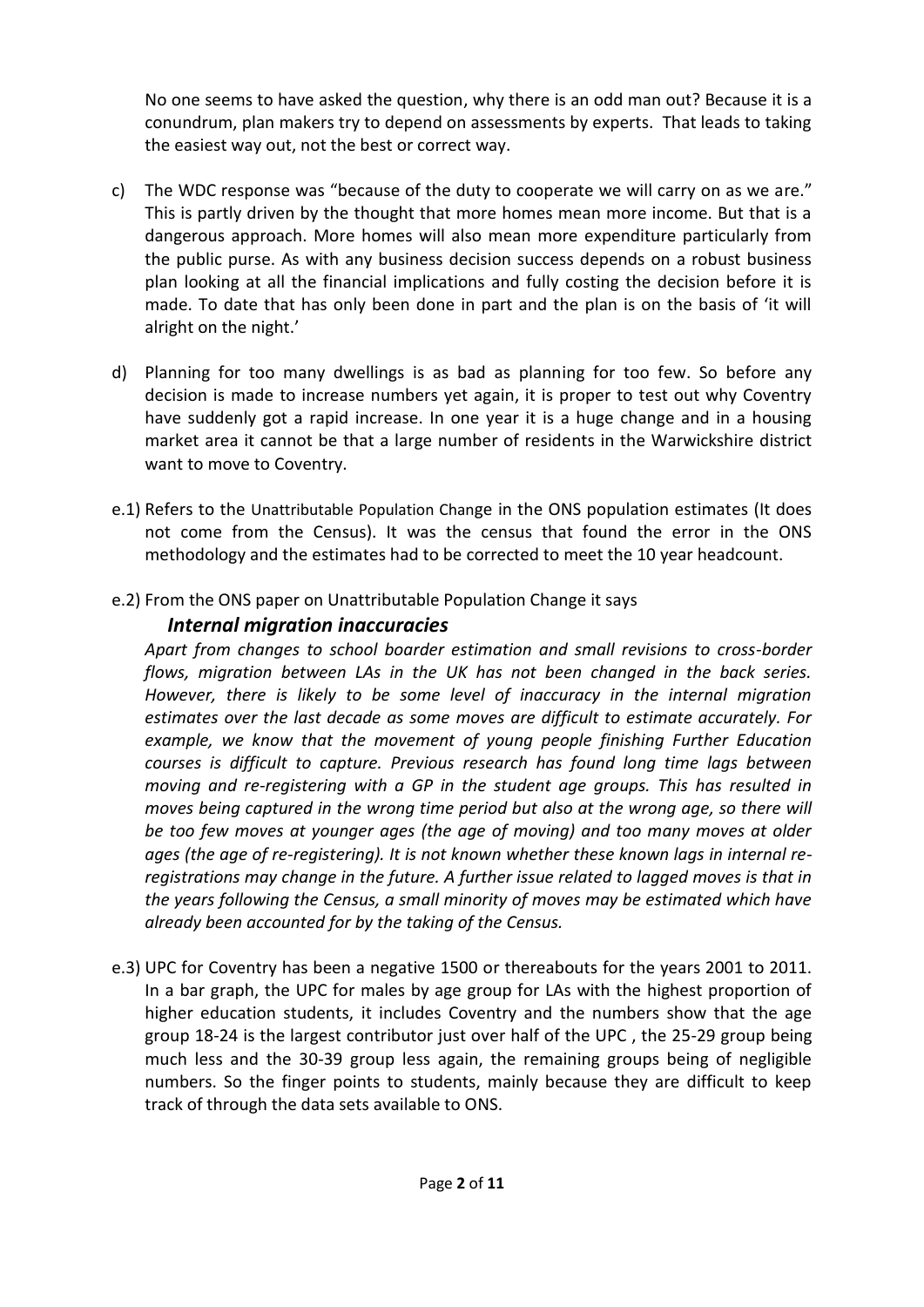No one seems to have asked the question, why there is an odd man out? Because it is a conundrum, plan makers try to depend on assessments by experts. That leads to taking the easiest way out, not the best or correct way.

- c) The WDC response was "because of the duty to cooperate we will carry on as we are." This is partly driven by the thought that more homes mean more income. But that is a dangerous approach. More homes will also mean more expenditure particularly from the public purse. As with any business decision success depends on a robust business plan looking at all the financial implications and fully costing the decision before it is made. To date that has only been done in part and the plan is on the basis of 'it will alright on the night.'
- d) Planning for too many dwellings is as bad as planning for too few. So before any decision is made to increase numbers yet again, it is proper to test out why Coventry have suddenly got a rapid increase. In one year it is a huge change and in a housing market area it cannot be that a large number of residents in the Warwickshire district want to move to Coventry.
- e.1) Refers to the Unattributable Population Change in the ONS population estimates (It does not come from the Census). It was the census that found the error in the ONS methodology and the estimates had to be corrected to meet the 10 year headcount.
- e.2) From the ONS paper on Unattributable Population Change it says

# *Internal migration inaccuracies*

*Apart from changes to school boarder estimation and small revisions to cross-border flows, migration between LAs in the UK has not been changed in the back series. However, there is likely to be some level of inaccuracy in the internal migration estimates over the last decade as some moves are difficult to estimate accurately. For example, we know that the movement of young people finishing Further Education courses is difficult to capture. Previous research has found long time lags between moving and re-registering with a GP in the student age groups. This has resulted in moves being captured in the wrong time period but also at the wrong age, so there will be too few moves at younger ages (the age of moving) and too many moves at older ages (the age of re-registering). It is not known whether these known lags in internal reregistrations may change in the future. A further issue related to lagged moves is that in the years following the Census, a small minority of moves may be estimated which have already been accounted for by the taking of the Census.*

e.3) UPC for Coventry has been a negative 1500 or thereabouts for the years 2001 to 2011. In a bar graph, the UPC for males by age group for LAs with the highest proportion of higher education students, it includes Coventry and the numbers show that the age group 18-24 is the largest contributor just over half of the UPC , the 25-29 group being much less and the 30-39 group less again, the remaining groups being of negligible numbers. So the finger points to students, mainly because they are difficult to keep track of through the data sets available to ONS.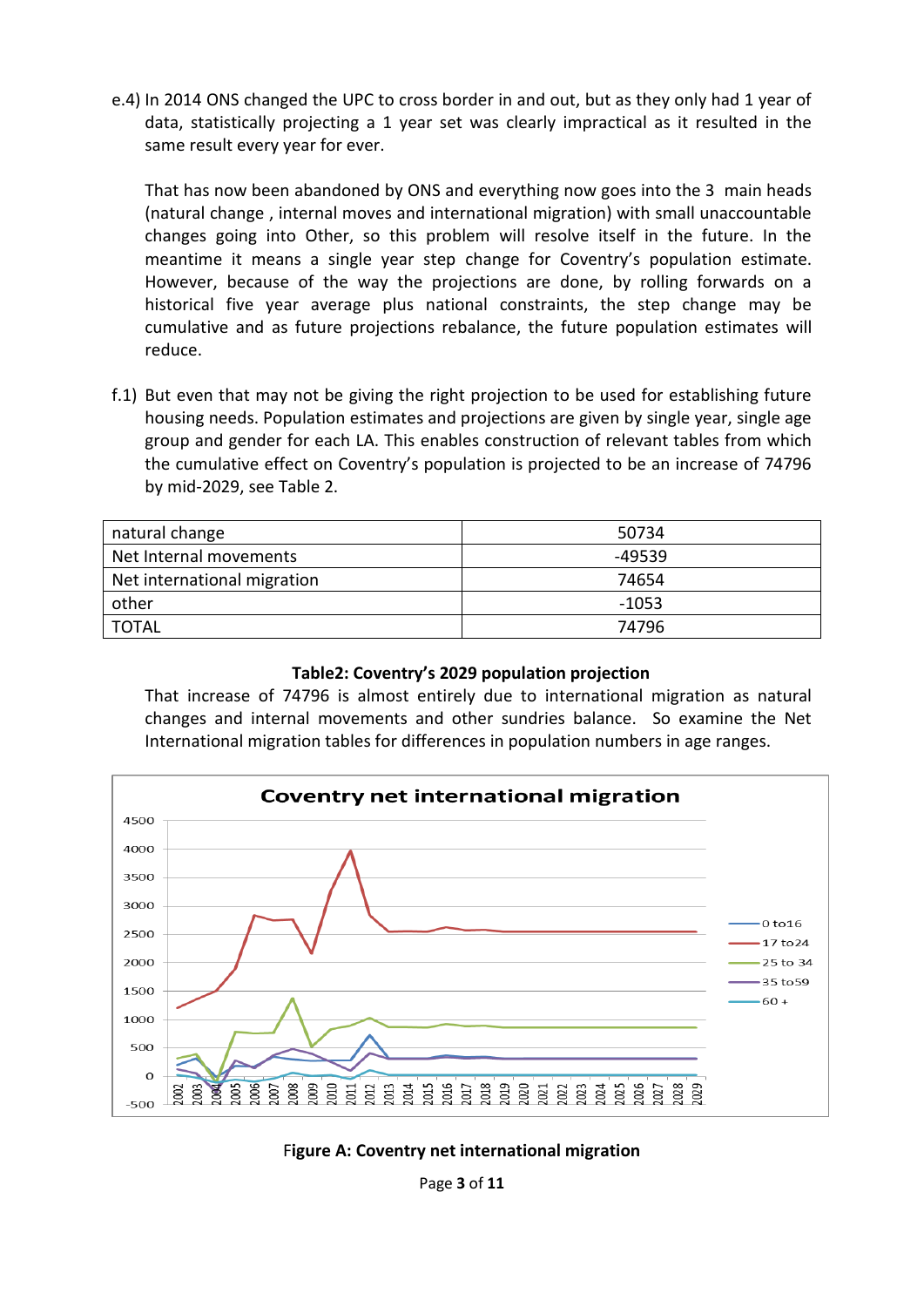e.4) In 2014 ONS changed the UPC to cross border in and out, but as they only had 1 year of data, statistically projecting a 1 year set was clearly impractical as it resulted in the same result every year for ever.

That has now been abandoned by ONS and everything now goes into the 3 main heads (natural change , internal moves and international migration) with small unaccountable changes going into Other, so this problem will resolve itself in the future. In the meantime it means a single year step change for Coventry's population estimate. However, because of the way the projections are done, by rolling forwards on a historical five year average plus national constraints, the step change may be cumulative and as future projections rebalance, the future population estimates will reduce.

f.1) But even that may not be giving the right projection to be used for establishing future housing needs. Population estimates and projections are given by single year, single age group and gender for each LA. This enables construction of relevant tables from which the cumulative effect on Coventry's population is projected to be an increase of 74796 by mid-2029, see Table 2.

| natural change              | 50734   |
|-----------------------------|---------|
| Net Internal movements      | -49539  |
| Net international migration | 74654   |
| other                       | $-1053$ |
| TOTAL                       | 74796   |

# **Table2: Coventry's 2029 population projection**

That increase of 74796 is almost entirely due to international migration as natural changes and internal movements and other sundries balance. So examine the Net International migration tables for differences in population numbers in age ranges.





Page **3** of **11**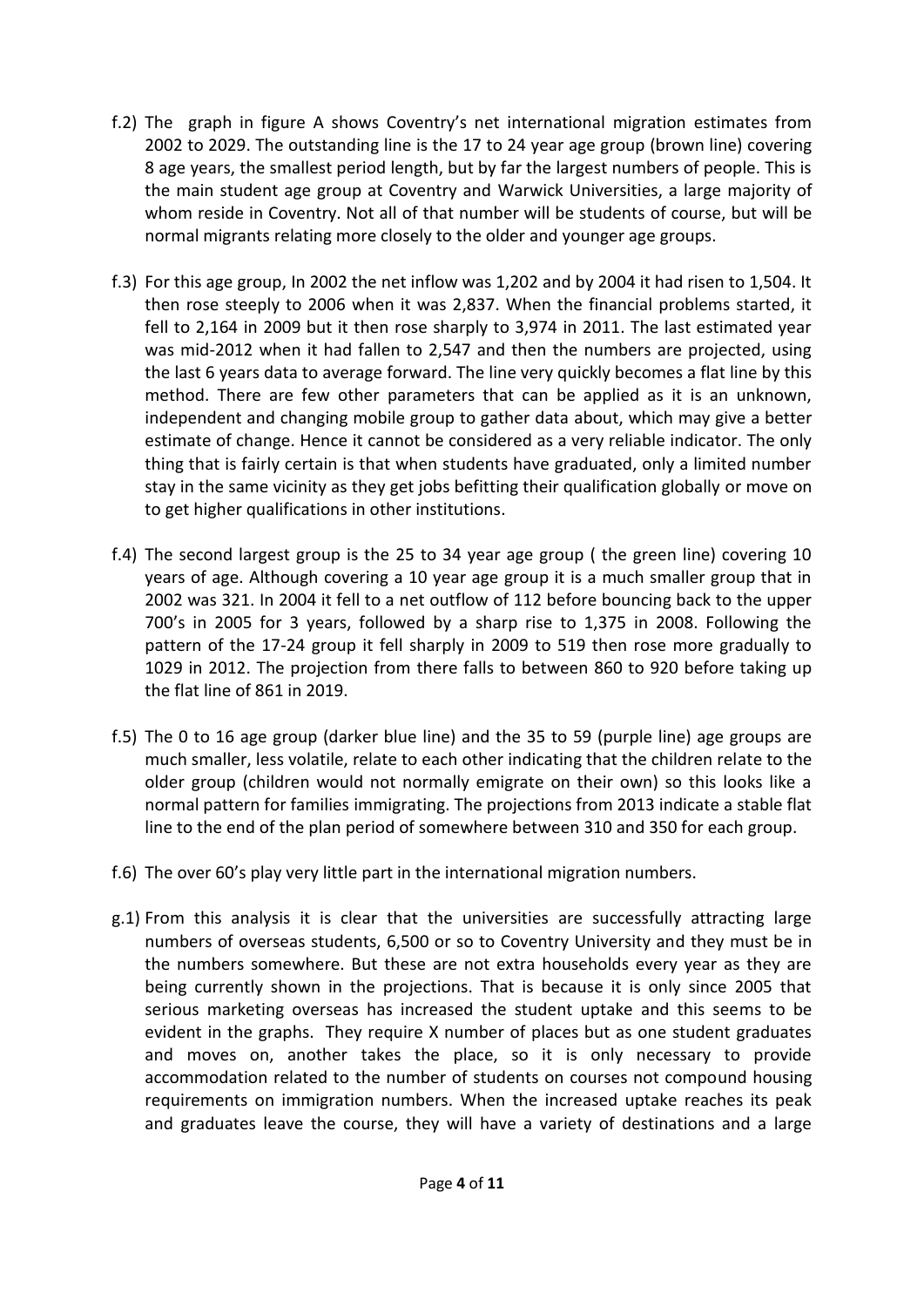- f.2) The graph in figure A shows Coventry's net international migration estimates from 2002 to 2029. The outstanding line is the 17 to 24 year age group (brown line) covering 8 age years, the smallest period length, but by far the largest numbers of people. This is the main student age group at Coventry and Warwick Universities, a large majority of whom reside in Coventry. Not all of that number will be students of course, but will be normal migrants relating more closely to the older and younger age groups.
- f.3) For this age group, In 2002 the net inflow was 1,202 and by 2004 it had risen to 1,504. It then rose steeply to 2006 when it was 2,837. When the financial problems started, it fell to 2,164 in 2009 but it then rose sharply to 3,974 in 2011. The last estimated year was mid-2012 when it had fallen to 2,547 and then the numbers are projected, using the last 6 years data to average forward. The line very quickly becomes a flat line by this method. There are few other parameters that can be applied as it is an unknown, independent and changing mobile group to gather data about, which may give a better estimate of change. Hence it cannot be considered as a very reliable indicator. The only thing that is fairly certain is that when students have graduated, only a limited number stay in the same vicinity as they get jobs befitting their qualification globally or move on to get higher qualifications in other institutions.
- f.4) The second largest group is the 25 to 34 year age group ( the green line) covering 10 years of age. Although covering a 10 year age group it is a much smaller group that in 2002 was 321. In 2004 it fell to a net outflow of 112 before bouncing back to the upper 700's in 2005 for 3 years, followed by a sharp rise to 1,375 in 2008. Following the pattern of the 17-24 group it fell sharply in 2009 to 519 then rose more gradually to 1029 in 2012. The projection from there falls to between 860 to 920 before taking up the flat line of 861 in 2019.
- f.5) The 0 to 16 age group (darker blue line) and the 35 to 59 (purple line) age groups are much smaller, less volatile, relate to each other indicating that the children relate to the older group (children would not normally emigrate on their own) so this looks like a normal pattern for families immigrating. The projections from 2013 indicate a stable flat line to the end of the plan period of somewhere between 310 and 350 for each group.
- f.6) The over 60's play very little part in the international migration numbers.
- g.1) From this analysis it is clear that the universities are successfully attracting large numbers of overseas students, 6,500 or so to Coventry University and they must be in the numbers somewhere. But these are not extra households every year as they are being currently shown in the projections. That is because it is only since 2005 that serious marketing overseas has increased the student uptake and this seems to be evident in the graphs. They require X number of places but as one student graduates and moves on, another takes the place, so it is only necessary to provide accommodation related to the number of students on courses not compound housing requirements on immigration numbers. When the increased uptake reaches its peak and graduates leave the course, they will have a variety of destinations and a large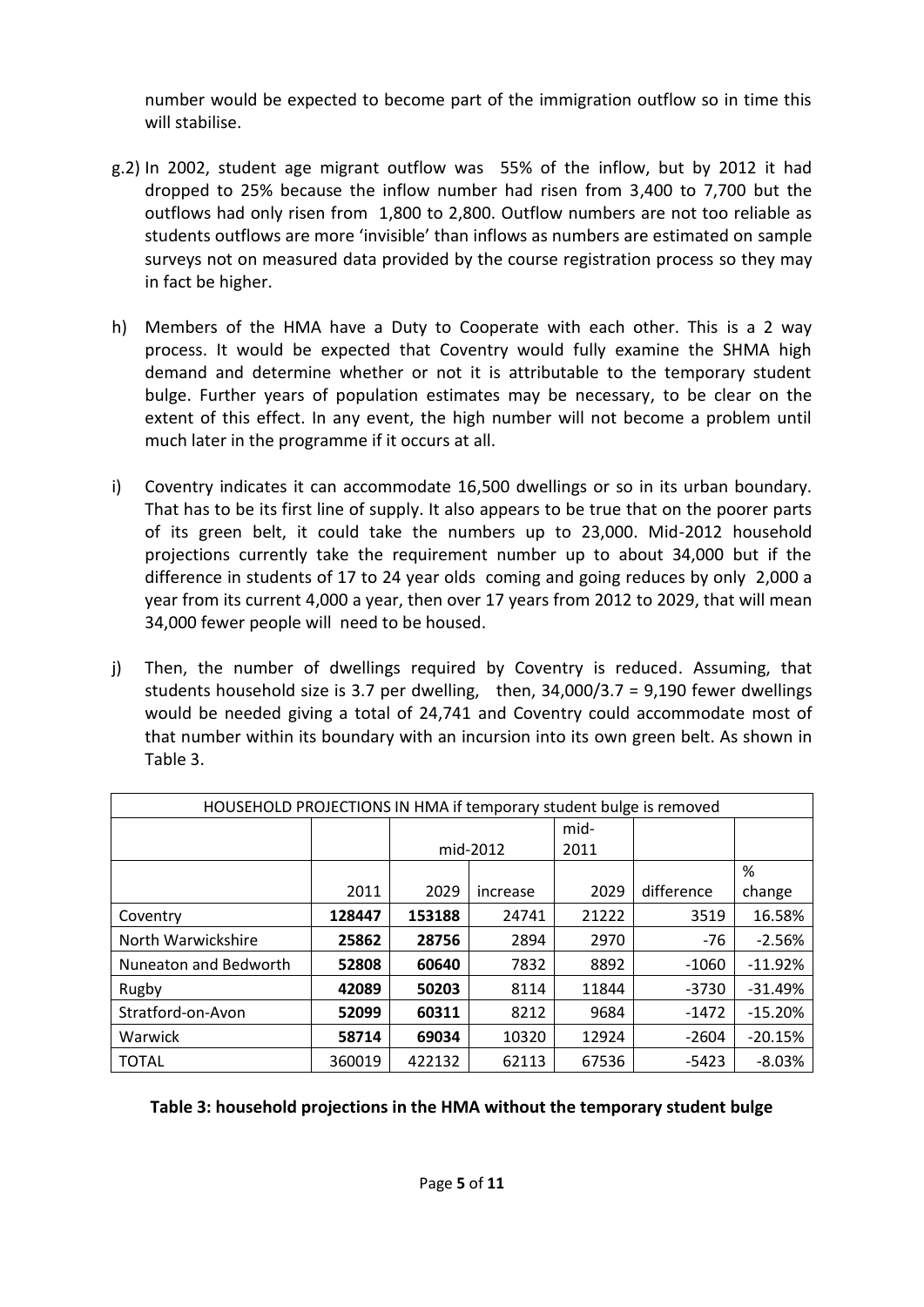number would be expected to become part of the immigration outflow so in time this will stabilise.

- g.2) In 2002, student age migrant outflow was 55% of the inflow, but by 2012 it had dropped to 25% because the inflow number had risen from 3,400 to 7,700 but the outflows had only risen from 1,800 to 2,800. Outflow numbers are not too reliable as students outflows are more 'invisible' than inflows as numbers are estimated on sample surveys not on measured data provided by the course registration process so they may in fact be higher.
- h) Members of the HMA have a Duty to Cooperate with each other. This is a 2 way process. It would be expected that Coventry would fully examine the SHMA high demand and determine whether or not it is attributable to the temporary student bulge. Further years of population estimates may be necessary, to be clear on the extent of this effect. In any event, the high number will not become a problem until much later in the programme if it occurs at all.
- i) Coventry indicates it can accommodate 16,500 dwellings or so in its urban boundary. That has to be its first line of supply. It also appears to be true that on the poorer parts of its green belt, it could take the numbers up to 23,000. Mid-2012 household projections currently take the requirement number up to about 34,000 but if the difference in students of 17 to 24 year olds coming and going reduces by only 2,000 a year from its current 4,000 a year, then over 17 years from 2012 to 2029, that will mean 34,000 fewer people will need to be housed.
- j) Then, the number of dwellings required by Coventry is reduced. Assuming, that students household size is 3.7 per dwelling, then, 34,000/3.7 = 9,190 fewer dwellings would be needed giving a total of 24,741 and Coventry could accommodate most of that number within its boundary with an incursion into its own green belt. As shown in Table 3.

| HOUSEHOLD PROJECTIONS IN HMA if temporary student bulge is removed |        |          |          |       |            |           |  |  |
|--------------------------------------------------------------------|--------|----------|----------|-------|------------|-----------|--|--|
|                                                                    |        |          |          | mid-  |            |           |  |  |
|                                                                    |        | mid-2012 |          | 2011  |            |           |  |  |
|                                                                    |        |          |          |       |            | %         |  |  |
|                                                                    | 2011   | 2029     | increase | 2029  | difference | change    |  |  |
| Coventry                                                           | 128447 | 153188   | 24741    | 21222 | 3519       | 16.58%    |  |  |
| North Warwickshire                                                 | 25862  | 28756    | 2894     | 2970  | $-76$      | $-2.56%$  |  |  |
| Nuneaton and Bedworth                                              | 52808  | 60640    | 7832     | 8892  | $-1060$    | $-11.92%$ |  |  |
| Rugby                                                              | 42089  | 50203    | 8114     | 11844 | $-3730$    | $-31.49%$ |  |  |
| Stratford-on-Avon                                                  | 52099  | 60311    | 8212     | 9684  | $-1472$    | $-15.20%$ |  |  |
| Warwick                                                            | 58714  | 69034    | 10320    | 12924 | $-2604$    | $-20.15%$ |  |  |
| <b>TOTAL</b>                                                       | 360019 | 422132   | 62113    | 67536 | $-5423$    | $-8.03%$  |  |  |

# **Table 3: household projections in the HMA without the temporary student bulge**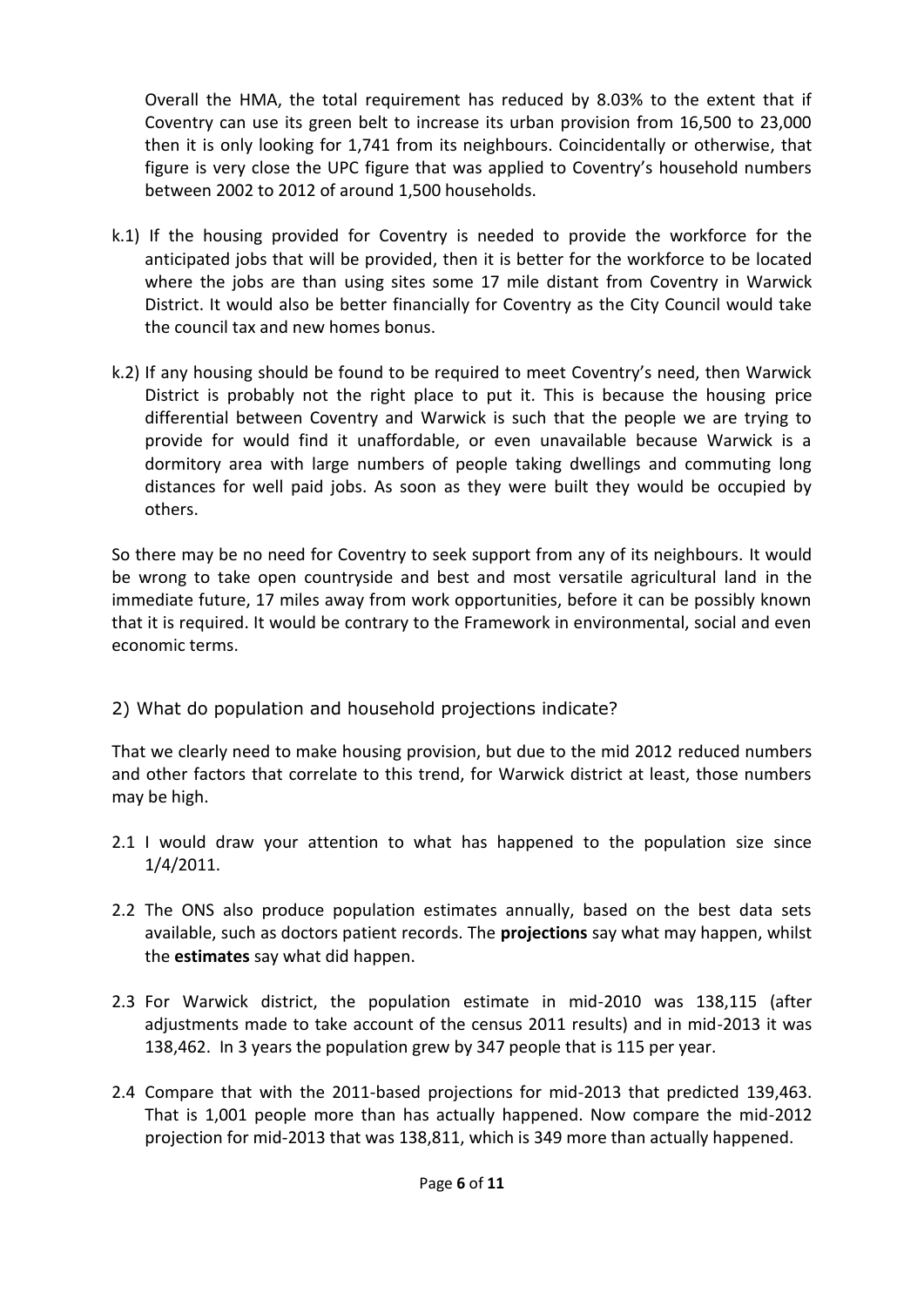Overall the HMA, the total requirement has reduced by 8.03% to the extent that if Coventry can use its green belt to increase its urban provision from 16,500 to 23,000 then it is only looking for 1,741 from its neighbours. Coincidentally or otherwise, that figure is very close the UPC figure that was applied to Coventry's household numbers between 2002 to 2012 of around 1,500 households.

- k.1) If the housing provided for Coventry is needed to provide the workforce for the anticipated jobs that will be provided, then it is better for the workforce to be located where the jobs are than using sites some 17 mile distant from Coventry in Warwick District. It would also be better financially for Coventry as the City Council would take the council tax and new homes bonus.
- k.2) If any housing should be found to be required to meet Coventry's need, then Warwick District is probably not the right place to put it. This is because the housing price differential between Coventry and Warwick is such that the people we are trying to provide for would find it unaffordable, or even unavailable because Warwick is a dormitory area with large numbers of people taking dwellings and commuting long distances for well paid jobs. As soon as they were built they would be occupied by others.

So there may be no need for Coventry to seek support from any of its neighbours. It would be wrong to take open countryside and best and most versatile agricultural land in the immediate future, 17 miles away from work opportunities, before it can be possibly known that it is required. It would be contrary to the Framework in environmental, social and even economic terms.

2) What do population and household projections indicate?

That we clearly need to make housing provision, but due to the mid 2012 reduced numbers and other factors that correlate to this trend, for Warwick district at least, those numbers may be high.

- 2.1 I would draw your attention to what has happened to the population size since 1/4/2011.
- 2.2 The ONS also produce population estimates annually, based on the best data sets available, such as doctors patient records. The **projections** say what may happen, whilst the **estimates** say what did happen.
- 2.3 For Warwick district, the population estimate in mid-2010 was 138,115 (after adjustments made to take account of the census 2011 results) and in mid-2013 it was 138,462. In 3 years the population grew by 347 people that is 115 per year.
- 2.4 Compare that with the 2011-based projections for mid-2013 that predicted 139,463. That is 1,001 people more than has actually happened. Now compare the mid-2012 projection for mid-2013 that was 138,811, which is 349 more than actually happened.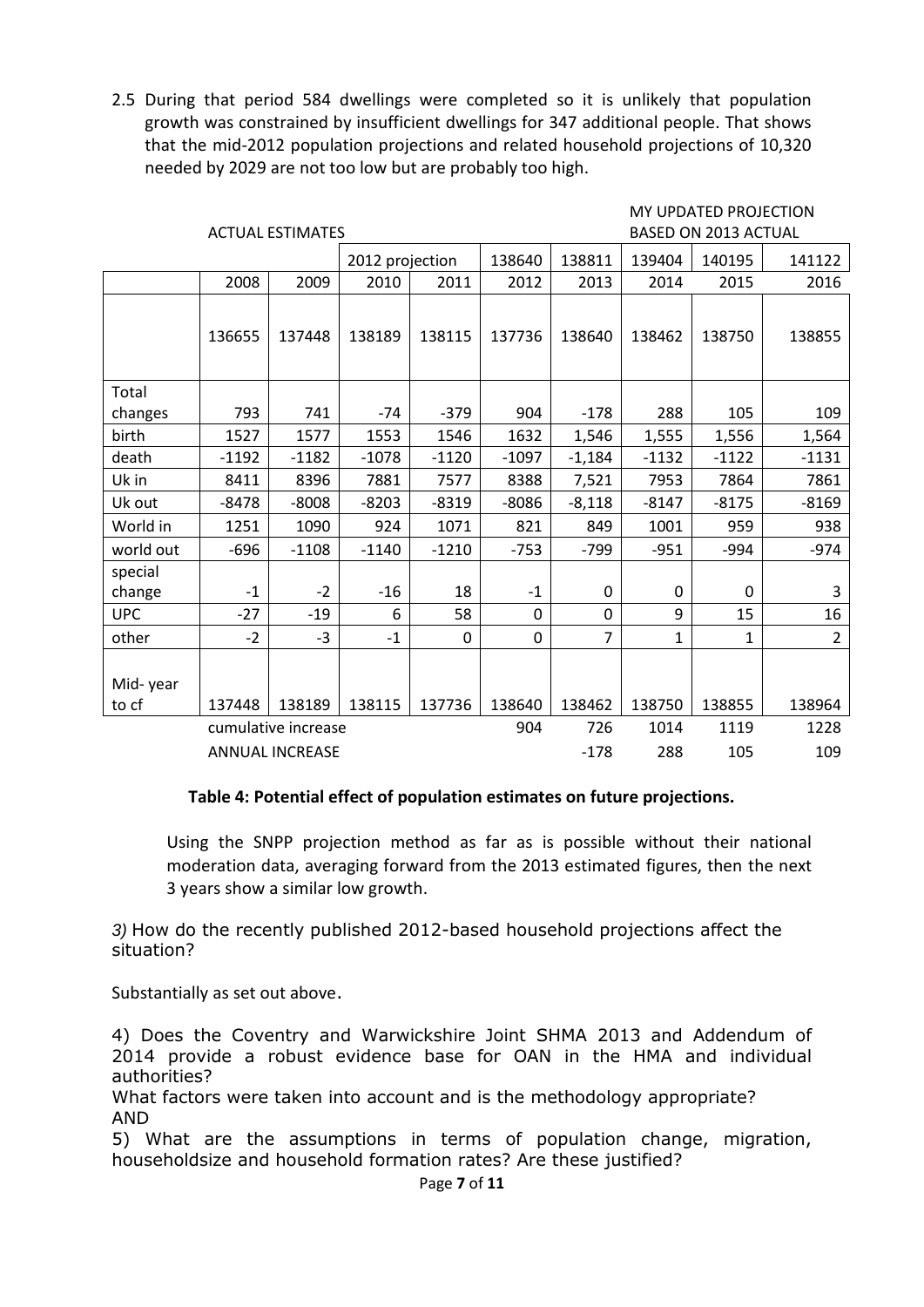2.5 During that period 584 dwellings were completed so it is unlikely that population growth was constrained by insufficient dwellings for 347 additional people. That shows that the mid-2012 population projections and related household projections of 10,320 needed by 2029 are not too low but are probably too high.

MY UPDATED PROJECTION

|                            | <b>ACTUAL ESTIMATES</b> |         |                 |         |             |             | <b>BASED ON 2013 ACTUAL</b> |         |                |  |
|----------------------------|-------------------------|---------|-----------------|---------|-------------|-------------|-----------------------------|---------|----------------|--|
|                            |                         |         | 2012 projection |         | 138640      | 138811      | 139404                      | 140195  | 141122         |  |
|                            | 2008                    | 2009    | 2010            | 2011    | 2012        | 2013        | 2014                        | 2015    | 2016           |  |
|                            | 136655                  | 137448  | 138189          | 138115  | 137736      | 138640      | 138462                      | 138750  | 138855         |  |
| Total                      |                         |         |                 |         |             |             |                             |         |                |  |
| changes                    | 793                     | 741     | $-74$           | $-379$  | 904         | $-178$      | 288                         | 105     | 109            |  |
| birth                      | 1527                    | 1577    | 1553            | 1546    | 1632        | 1,546       | 1,555                       | 1,556   | 1,564          |  |
| death                      | $-1192$                 | $-1182$ | $-1078$         | $-1120$ | $-1097$     | $-1,184$    | $-1132$                     | $-1122$ | $-1131$        |  |
| Uk in                      | 8411                    | 8396    | 7881            | 7577    | 8388        | 7,521       | 7953                        | 7864    | 7861           |  |
| Uk out                     | $-8478$                 | $-8008$ | $-8203$         | $-8319$ | $-8086$     | $-8,118$    | $-8147$                     | $-8175$ | $-8169$        |  |
| World in                   | 1251                    | 1090    | 924             | 1071    | 821         | 849         | 1001                        | 959     | 938            |  |
| world out                  | $-696$                  | $-1108$ | $-1140$         | $-1210$ | $-753$      | $-799$      | $-951$                      | $-994$  | $-974$         |  |
| special                    |                         |         |                 |         |             |             |                             |         |                |  |
| change                     | $-1$                    | $-2$    | $-16$           | 18      | $-1$        | $\mathbf 0$ | 0                           | 0       | 3              |  |
| <b>UPC</b>                 | $-27$                   | $-19$   | 6               | 58      | $\Omega$    | $\mathbf 0$ | 9                           | 15      | 16             |  |
| other                      | $-2$                    | $-3$    | $-1$            | 0       | $\mathbf 0$ | 7           | 1                           | 1       | $\overline{2}$ |  |
| Mid-year<br>to cf          | 137448                  | 138189  | 138115          | 137736  | 138640      | 138462      | 138750                      | 138855  | 138964         |  |
| cumulative increase<br>904 |                         |         |                 |         | 726         | 1014        | 1119                        | 1228    |                |  |
| <b>ANNUAL INCREASE</b>     |                         |         |                 |         |             | $-178$      | 288                         | 105     | 109            |  |

# **Table 4: Potential effect of population estimates on future projections.**

Using the SNPP projection method as far as is possible without their national moderation data, averaging forward from the 2013 estimated figures, then the next 3 years show a similar low growth.

*3)* How do the recently published 2012-based household projections affect the situation?

Substantially as set out above.

4) Does the Coventry and Warwickshire Joint SHMA 2013 and Addendum of 2014 provide a robust evidence base for OAN in the HMA and individual authorities?

What factors were taken into account and is the methodology appropriate? AND

5) What are the assumptions in terms of population change, migration, householdsize and household formation rates? Are these justified?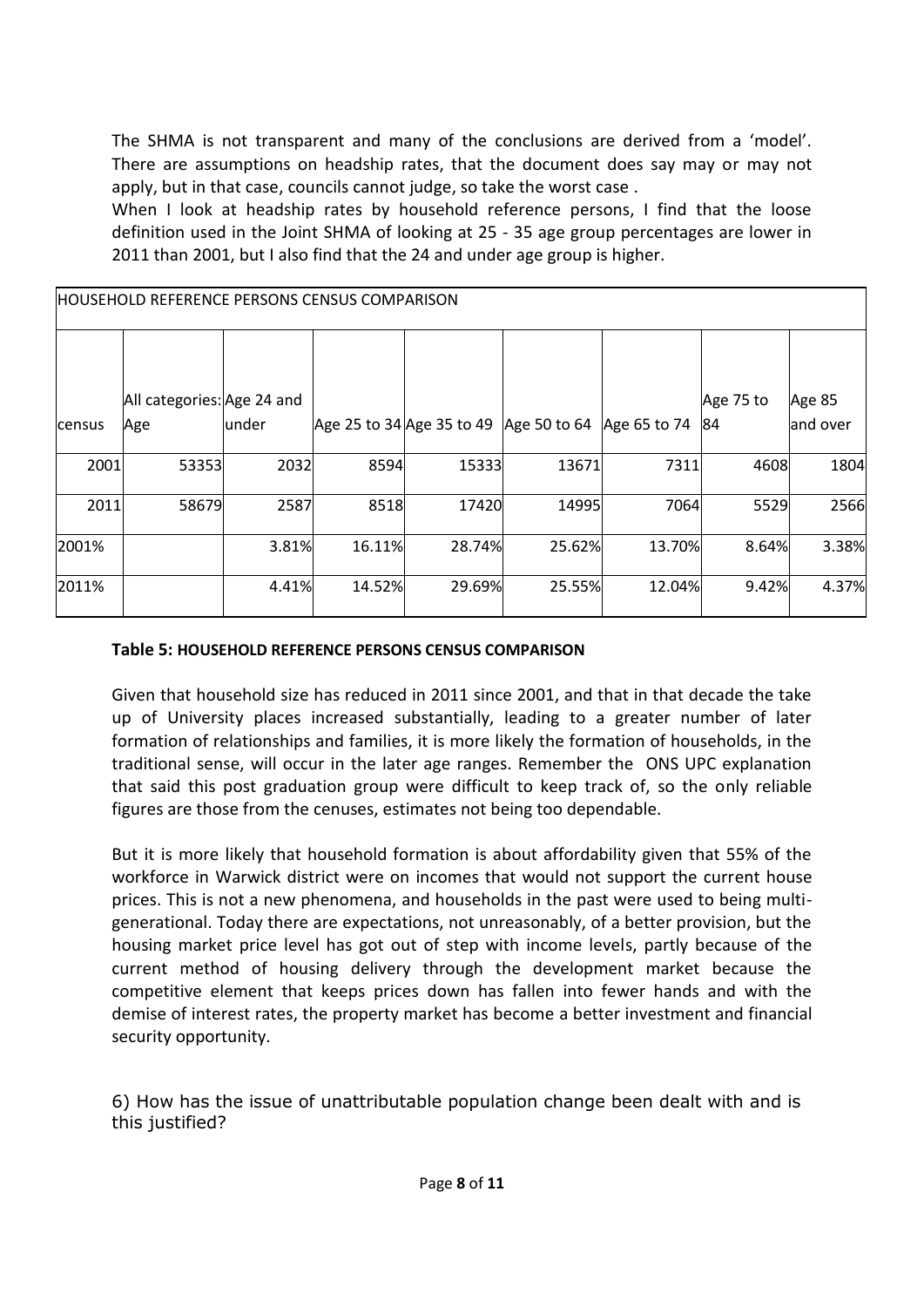The SHMA is not transparent and many of the conclusions are derived from a 'model'. There are assumptions on headship rates, that the document does say may or may not apply, but in that case, councils cannot judge, so take the worst case .

When I look at headship rates by household reference persons, I find that the loose definition used in the Joint SHMA of looking at 25 - 35 age group percentages are lower in 2011 than 2001, but I also find that the 24 and under age group is higher.

|        | <b>HOUSEHOLD REFERENCE PERSONS CENSUS COMPARISON</b> |       |        |                                           |        |              |                        |                    |
|--------|------------------------------------------------------|-------|--------|-------------------------------------------|--------|--------------|------------------------|--------------------|
| census | All categories: Age 24 and<br>Age                    | under |        | $ Age 25$ to 34 Age 35 to 49 Age 50 to 64 |        | Age 65 to 74 | Age 75 to<br><b>84</b> | Age 85<br>and over |
| 2001   | 53353                                                | 2032  | 8594   | 15333                                     | 13671  | 7311         | 4608                   | 1804               |
| 2011   | 58679                                                | 2587  | 8518   | 17420                                     | 14995  | 7064         | 5529                   | 2566               |
| 2001%  |                                                      | 3.81% | 16.11% | 28.74%                                    | 25.62% | 13.70%       | 8.64%                  | 3.38%              |
| 2011%  |                                                      | 4.41% | 14.52% | 29.69%                                    | 25.55% | 12.04%       | 9.42%                  | 4.37%              |

# **Table 5: HOUSEHOLD REFERENCE PERSONS CENSUS COMPARISON**

Given that household size has reduced in 2011 since 2001, and that in that decade the take up of University places increased substantially, leading to a greater number of later formation of relationships and families, it is more likely the formation of households, in the traditional sense, will occur in the later age ranges. Remember the ONS UPC explanation that said this post graduation group were difficult to keep track of, so the only reliable figures are those from the cenuses, estimates not being too dependable.

But it is more likely that household formation is about affordability given that 55% of the workforce in Warwick district were on incomes that would not support the current house prices. This is not a new phenomena, and households in the past were used to being multigenerational. Today there are expectations, not unreasonably, of a better provision, but the housing market price level has got out of step with income levels, partly because of the current method of housing delivery through the development market because the competitive element that keeps prices down has fallen into fewer hands and with the demise of interest rates, the property market has become a better investment and financial security opportunity.

6) How has the issue of unattributable population change been dealt with and is this justified?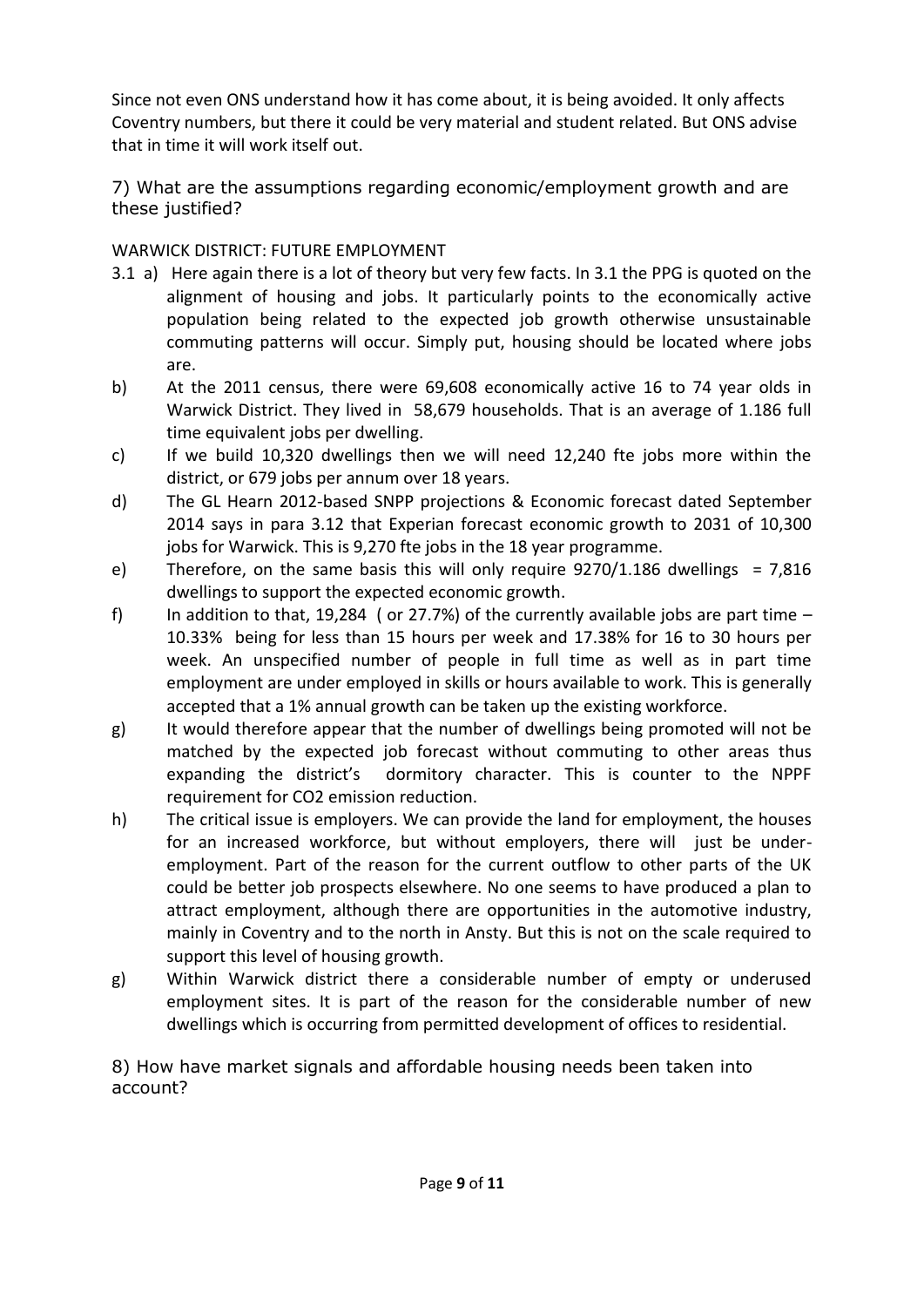Since not even ONS understand how it has come about, it is being avoided. It only affects Coventry numbers, but there it could be very material and student related. But ONS advise that in time it will work itself out.

7) What are the assumptions regarding economic/employment growth and are these justified?

# WARWICK DISTRICT: FUTURE EMPLOYMENT

- 3.1 a) Here again there is a lot of theory but very few facts. In 3.1 the PPG is quoted on the alignment of housing and jobs. It particularly points to the economically active population being related to the expected job growth otherwise unsustainable commuting patterns will occur. Simply put, housing should be located where jobs are.
- b) At the 2011 census, there were 69,608 economically active 16 to 74 year olds in Warwick District. They lived in 58,679 households. That is an average of 1.186 full time equivalent jobs per dwelling.
- c) If we build 10,320 dwellings then we will need 12,240 fte jobs more within the district, or 679 jobs per annum over 18 years.
- d) The GL Hearn 2012-based SNPP projections & Economic forecast dated September 2014 says in para 3.12 that Experian forecast economic growth to 2031 of 10,300 jobs for Warwick. This is 9,270 fte jobs in the 18 year programme.
- e) Therefore, on the same basis this will only require  $9270/1.186$  dwellings = 7.816 dwellings to support the expected economic growth.
- f) In addition to that, 19,284 ( or 27.7%) of the currently available jobs are part time  $-$ 10.33% being for less than 15 hours per week and 17.38% for 16 to 30 hours per week. An unspecified number of people in full time as well as in part time employment are under employed in skills or hours available to work. This is generally accepted that a 1% annual growth can be taken up the existing workforce.
- g) It would therefore appear that the number of dwellings being promoted will not be matched by the expected job forecast without commuting to other areas thus expanding the district's dormitory character. This is counter to the NPPF requirement for CO2 emission reduction.
- h) The critical issue is employers. We can provide the land for employment, the houses for an increased workforce, but without employers, there will just be underemployment. Part of the reason for the current outflow to other parts of the UK could be better job prospects elsewhere. No one seems to have produced a plan to attract employment, although there are opportunities in the automotive industry, mainly in Coventry and to the north in Ansty. But this is not on the scale required to support this level of housing growth.
- g) Within Warwick district there a considerable number of empty or underused employment sites. It is part of the reason for the considerable number of new dwellings which is occurring from permitted development of offices to residential.

8) How have market signals and affordable housing needs been taken into account?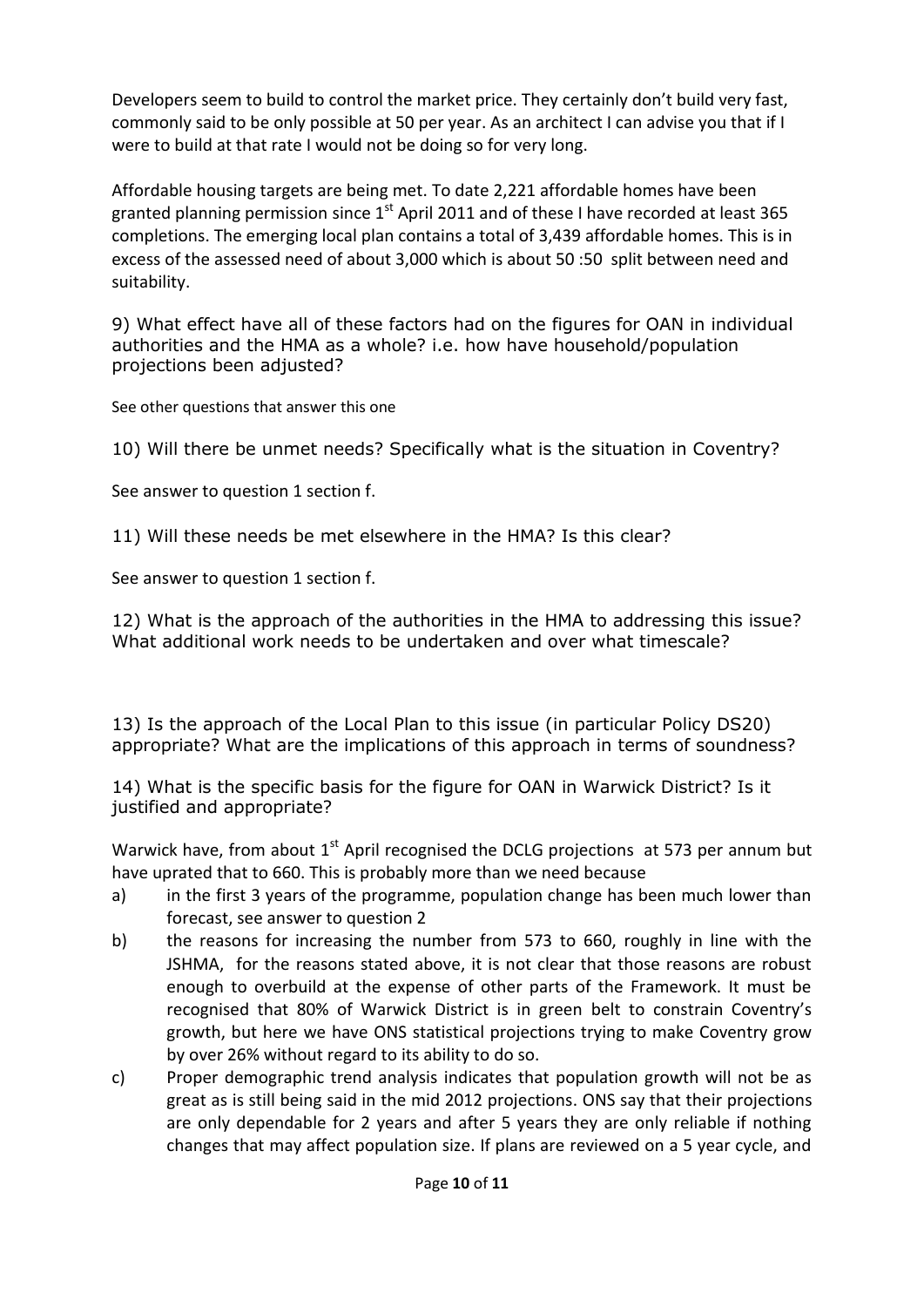Developers seem to build to control the market price. They certainly don't build very fast, commonly said to be only possible at 50 per year. As an architect I can advise you that if I were to build at that rate I would not be doing so for very long.

Affordable housing targets are being met. To date 2,221 affordable homes have been granted planning permission since  $1<sup>st</sup>$  April 2011 and of these I have recorded at least 365 completions. The emerging local plan contains a total of 3,439 affordable homes. This is in excess of the assessed need of about 3,000 which is about 50 :50 split between need and suitability.

9) What effect have all of these factors had on the figures for OAN in individual authorities and the HMA as a whole? i.e. how have household/population projections been adjusted?

See other questions that answer this one

10) Will there be unmet needs? Specifically what is the situation in Coventry?

See answer to question 1 section f.

11) Will these needs be met elsewhere in the HMA? Is this clear?

See answer to question 1 section f.

12) What is the approach of the authorities in the HMA to addressing this issue? What additional work needs to be undertaken and over what timescale?

13) Is the approach of the Local Plan to this issue (in particular Policy DS20) appropriate? What are the implications of this approach in terms of soundness?

14) What is the specific basis for the figure for OAN in Warwick District? Is it justified and appropriate?

Warwick have, from about  $1<sup>st</sup>$  April recognised the DCLG projections at 573 per annum but have uprated that to 660. This is probably more than we need because

- a) in the first 3 years of the programme, population change has been much lower than forecast, see answer to question 2
- b) the reasons for increasing the number from 573 to 660, roughly in line with the JSHMA, for the reasons stated above, it is not clear that those reasons are robust enough to overbuild at the expense of other parts of the Framework. It must be recognised that 80% of Warwick District is in green belt to constrain Coventry's growth, but here we have ONS statistical projections trying to make Coventry grow by over 26% without regard to its ability to do so.
- c) Proper demographic trend analysis indicates that population growth will not be as great as is still being said in the mid 2012 projections. ONS say that their projections are only dependable for 2 years and after 5 years they are only reliable if nothing changes that may affect population size. If plans are reviewed on a 5 year cycle, and